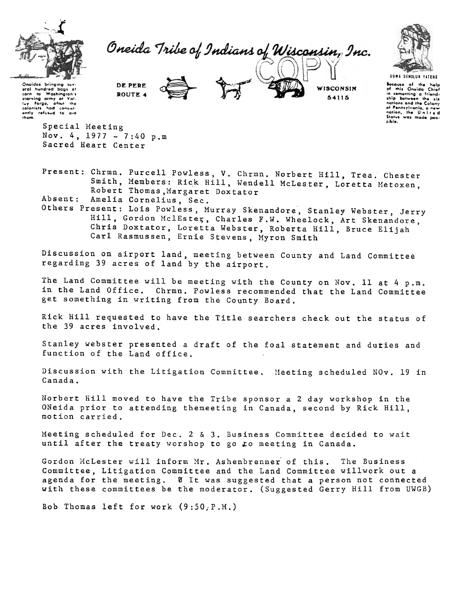

Oneida Tribe of Indians of Wisconsin, Inc.



UGWA DENOLUN YATERE Because of the help<br>of this Oneida Chief<br>in cementing a friend-<br>ship between the six nations and the Colony nations and the working<br>of Pennsylvania, a new<br>nation, the United<br>Status was made possible.

WISCONSIN

54115

Onaidas bringing suvaral hundred bacs of eral hundred puys ut<br>corn to Washington's<br>starving army at Valli<br>fuvilforge, lafter the starving army at Valling<br>Forge, after the<br>colonists had consistently refused to aid<br>them,

> Special Meeting Nov. 4, 1977 - 7:40 p.m Sacred Heart Center

Present: Chrmn. Purcell Powless, V. Chrmn. Norbert Hill, Trea. Chester Smith, Members: Rick Hill, Wendell McLester, Loretta Metoxen, Robert Thomas, Margaret Doxtator

Amelia Cornelius, Sec. Absent:

DE PERE

ROUTE 4

Others Present: Lois Powless, Murray Skenandore, Stanley Webster, Jerry Hill, Gordon MclEster, Charles F.W. Wheelock, Art Skenandore, Chris Doxtator, Loretta Webster, Roberta Hill, Bruce Elijah Carl Rasmussen, Ernie Stevens, Myron Smith

Discussion on airport land, meeting between County and Land Committee regarding 39 acres of land by the airport.

The Land Committee will be meeting with the County on Nov. 11 at 4 p.m. in the Land Office. Chrmn. Powless recommended that the Land Committee get something in writing from the County Board.

Rick Hill requested to have the Title searchers check out the status of the 39 acres involved.

Stanley webster presented a draft of the foal statement and duties and function of the Land office.

Discussion with the Litigation Committee. Meeting scheduled NOv. 19 in Canada.

Norbert Hill moved to have the Tribe sponsor a 2 day workshop in the ONeida prior to attending themeeting in Canada, second by Rick Hill, motion carried.

Meeting scheduled for Dec. 2 & 3. Business Committee decided to wait until after the treaty worshop to go to meeting in Canada.

Gordon McLester will inform Mr. Ashenbrenner of this. The Business Committee, Litigation Committee and the Land Committee willwork out a agenda for the meeting. 0 It was suggested that a person not connected with these committees be the moderator. (Suggested Gerry Hill from UWGB)

Bob Thomas left for work (9:50, P.M.)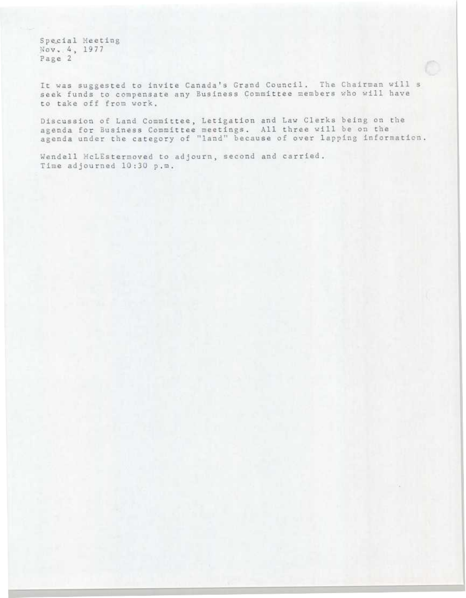Special Meeting Nov. 4, 1977 Page 2

It was suggested to invite Canada's Grand Council. The Chairman will s seek funds to compensate any Business Committee members who will have to take off from work.

Discussion of Land Committee, Letigation and Law Clerks being on the agenda for Business Committee meetings. All three will be on the agenda under the category of "land" because of over lapping information.

Wendell McLEstermoved to adjourn, second and carried. Time adjourned 10:30 p.m.